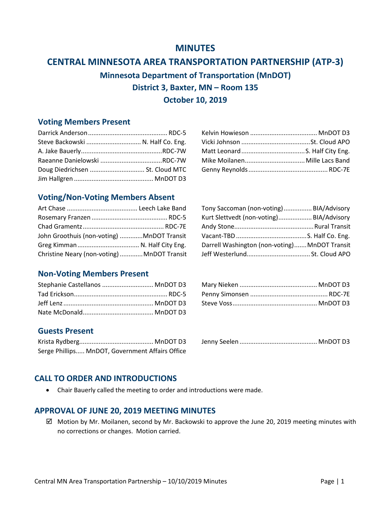# **MINUTES**

# **CENTRAL MINNESOTA AREA TRANSPORTATION PARTNERSHIP (ATP-3)**

**Minnesota Department of Transportation (MnDOT) District 3, Baxter, MN – Room 135**

# **October 10, 2019**

## **Voting Members Present**

| Steve Backowski  N. Half Co. Eng. |  |  |
|-----------------------------------|--|--|
|                                   |  |  |
|                                   |  |  |
| Doug Diedrichsen  St. Cloud MTC   |  |  |

## **Voting/Non-Voting Members Absent**

|                                            | Tony Saccoman (non-voting) BIA/Advisory       |  |
|--------------------------------------------|-----------------------------------------------|--|
|                                            | Kurt Slettvedt (non-voting) BIA/Advisory      |  |
|                                            |                                               |  |
| John Groothuis (non-voting) MnDOT Transit  |                                               |  |
|                                            | Darrell Washington (non-voting) MnDOT Transit |  |
| Christine Neary (non-voting) MnDOT Transit |                                               |  |

|                                            | Tony Saccoman (non-voting) BIA/Advisory       |  |
|--------------------------------------------|-----------------------------------------------|--|
|                                            | Kurt Slettvedt (non-voting) BIA/Advisory      |  |
|                                            |                                               |  |
| John Groothuis (non-voting) MnDOT Transit  |                                               |  |
|                                            | Darrell Washington (non-voting) MnDOT Transit |  |
| Christine Neary (non-voting) MnDOT Transit |                                               |  |

## **Non-Voting Members Present**

| Stephanie Castellanos  MnDOT D3 |  |  |
|---------------------------------|--|--|
|                                 |  |  |
|                                 |  |  |

## **Guests Present**

Serge Phillips..... MnDOT, Government Affairs Office

Krista Rydberg.......................................... MnDOT D3 Jenny Seelen ............................................ MnDOT D3

#### **CALL TO ORDER AND INTRODUCTIONS**

• Chair Bauerly called the meeting to order and introductions were made.

#### **APPROVAL OF JUNE 20, 2019 MEETING MINUTES**

 $\boxtimes$  Motion by Mr. Moilanen, second by Mr. Backowski to approve the June 20, 2019 meeting minutes with no corrections or changes. Motion carried.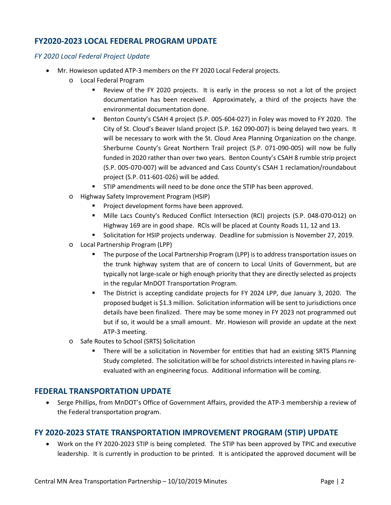## **FY2020-2023 LOCAL FEDERAL PROGRAM UPDATE**

#### *FY 2020 Local Federal Project Update*

- Mr. Howieson updated ATP-3 members on the FY 2020 Local Federal projects.
	- o Local Federal Program
		- Review of the FY 2020 projects. It is early in the process so not a lot of the project documentation has been received. Approximately, a third of the projects have the environmental documentation done.
		- **Benton County's CSAH 4 project (S.P. 005-604-027) in Foley was moved to FY 2020. The** City of St. Cloud's Beaver Island project (S.P. 162 090-007) is being delayed two years. It will be necessary to work with the St. Cloud Area Planning Organization on the change. Sherburne County's Great Northern Trail project (S.P. 071-090-005) will now be fully funded in 2020 rather than over two years. Benton County's CSAH 8 rumble strip project (S.P. 005-070-007) will be advanced and Cass County's CSAH 1 reclamation/roundabout project (S.P. 011-601-026) will be added.
		- STIP amendments will need to be done once the STIP has been approved.
	- o Highway Safety Improvement Program (HSIP)
		- Project development forms have been approved.
		- Mille Lacs County's Reduced Conflict Intersection (RCI) projects (S.P. 048-070-012) on Highway 169 are in good shape. RCIs will be placed at County Roads 11, 12 and 13.
		- Solicitation for HSIP projects underway. Deadline for submission is November 27, 2019.
	- o Local Partnership Program (LPP)
		- The purpose of the Local Partnership Program (LPP) is to address transportation issues on the trunk highway system that are of concern to Local Units of Government, but are typically not large-scale or high enough priority that they are directly selected as projects in the regular MnDOT Transportation Program.
		- The District is accepting candidate projects for FY 2024 LPP, due January 3, 2020. The proposed budget is \$1.3 million. Solicitation information will be sent to jurisdictions once details have been finalized. There may be some money in FY 2023 not programmed out but if so, it would be a small amount. Mr. Howieson will provide an update at the next ATP-3 meeting.
	- o Safe Routes to School (SRTS) Solicitation
		- There will be a solicitation in November for entities that had an existing SRTS Planning Study completed. The solicitation will be for school districts interested in having plans reevaluated with an engineering focus. Additional information will be coming.

#### **FEDERAL TRANSPORTATION UPDATE**

• Serge Phillips, from MnDOT's Office of Government Affairs, provided the ATP-3 membership a review of the Federal transportation program.

#### **FY 2020-2023 STATE TRANSPORTATION IMPROVEMENT PROGRAM (STIP) UPDATE**

• Work on the FY 2020-2023 STIP is being completed. The STIP has been approved by TPIC and executive leadership. It is currently in production to be printed. It is anticipated the approved document will be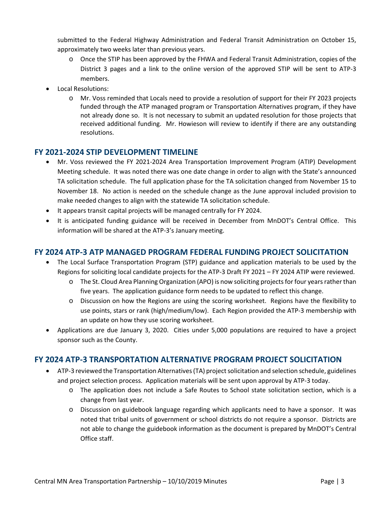submitted to the Federal Highway Administration and Federal Transit Administration on October 15, approximately two weeks later than previous years.

- o Once the STIP has been approved by the FHWA and Federal Transit Administration, copies of the District 3 pages and a link to the online version of the approved STIP will be sent to ATP-3 members.
- Local Resolutions:
	- o Mr. Voss reminded that Locals need to provide a resolution of support for their FY 2023 projects funded through the ATP managed program or Transportation Alternatives program, if they have not already done so. It is not necessary to submit an updated resolution for those projects that received additional funding. Mr. Howieson will review to identify if there are any outstanding resolutions.

## **FY 2021-2024 STIP DEVELOPMENT TIMELINE**

- Mr. Voss reviewed the FY 2021-2024 Area Transportation Improvement Program (ATIP) Development Meeting schedule. It was noted there was one date change in order to align with the State's announced TA solicitation schedule. The full application phase for the TA solicitation changed from November 15 to November 18. No action is needed on the schedule change as the June approval included provision to make needed changes to align with the statewide TA solicitation schedule.
- It appears transit capital projects will be managed centrally for FY 2024.
- It is anticipated funding guidance will be received in December from MnDOT's Central Office. This information will be shared at the ATP-3's January meeting.

#### **FY 2024 ATP-3 ATP MANAGED PROGRAM FEDERAL FUNDING PROJECT SOLICITATION**

- The Local Surface Transportation Program (STP) guidance and application materials to be used by the Regions for soliciting local candidate projects for the ATP-3 Draft FY 2021 – FY 2024 ATIP were reviewed.
	- o The St. Cloud Area Planning Organization (APO) is now soliciting projects for four years rather than five years. The application guidance form needs to be updated to reflect this change.
	- o Discussion on how the Regions are using the scoring worksheet. Regions have the flexibility to use points, stars or rank (high/medium/low). Each Region provided the ATP-3 membership with an update on how they use scoring worksheet.
- Applications are due January 3, 2020. Cities under 5,000 populations are required to have a project sponsor such as the County.

## **FY 2024 ATP-3 TRANSPORTATION ALTERNATIVE PROGRAM PROJECT SOLICITATION**

- ATP-3 reviewed the Transportation Alternatives (TA) project solicitation and selection schedule, guidelines and project selection process. Application materials will be sent upon approval by ATP-3 today.
	- o The application does not include a Safe Routes to School state solicitation section, which is a change from last year.
	- o Discussion on guidebook language regarding which applicants need to have a sponsor. It was noted that tribal units of government or school districts do not require a sponsor. Districts are not able to change the guidebook information as the document is prepared by MnDOT's Central Office staff.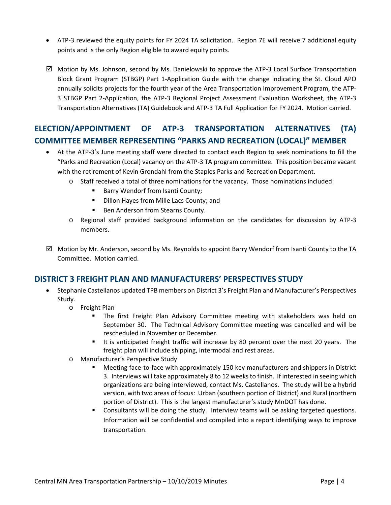- ATP-3 reviewed the equity points for FY 2024 TA solicitation. Region 7E will receive 7 additional equity points and is the only Region eligible to award equity points.
- $\boxtimes$  Motion by Ms. Johnson, second by Ms. Danielowski to approve the ATP-3 Local Surface Transportation Block Grant Program (STBGP) Part 1-Application Guide with the change indicating the St. Cloud APO annually solicits projects for the fourth year of the Area Transportation Improvement Program, the ATP-3 STBGP Part 2-Application, the ATP-3 Regional Project Assessment Evaluation Worksheet, the ATP-3 Transportation Alternatives (TA) Guidebook and ATP-3 TA Full Application for FY 2024. Motion carried.

# **ELECTION/APPOINTMENT OF ATP-3 TRANSPORTATION ALTERNATIVES (TA) COMMITTEE MEMBER REPRESENTING "PARKS AND RECREATION (LOCAL)" MEMBER**

- At the ATP-3's June meeting staff were directed to contact each Region to seek nominations to fill the "Parks and Recreation (Local) vacancy on the ATP-3 TA program committee. This position became vacant with the retirement of Kevin Grondahl from the Staples Parks and Recreation Department.
	- o Staff received a total of three nominations for the vacancy. Those nominations included:
		- **Barry Wendorf from Isanti County;**
		- Dillon Hayes from Mille Lacs County; and
		- Ben Anderson from Stearns County.
	- o Regional staff provided background information on the candidates for discussion by ATP-3 members.
- $\boxtimes$  Motion by Mr. Anderson, second by Ms. Reynolds to appoint Barry Wendorf from Isanti County to the TA Committee. Motion carried.

#### **DISTRICT 3 FREIGHT PLAN AND MANUFACTURERS' PERSPECTIVES STUDY**

- Stephanie Castellanos updated TPB members on District 3's Freight Plan and Manufacturer's Perspectives Study.
	- o Freight Plan
		- The first Freight Plan Advisory Committee meeting with stakeholders was held on September 30. The Technical Advisory Committee meeting was cancelled and will be rescheduled in November or December.
		- It is anticipated freight traffic will increase by 80 percent over the next 20 years. The freight plan will include shipping, intermodal and rest areas.
	- o Manufacturer's Perspective Study
		- Meeting face-to-face with approximately 150 key manufacturers and shippers in District 3. Interviews will take approximately 8 to 12 weeks to finish. If interested in seeing which organizations are being interviewed, contact Ms. Castellanos. The study will be a hybrid version, with two areas of focus: Urban (southern portion of District) and Rural (northern portion of District). This is the largest manufacturer's study MnDOT has done.
		- Consultants will be doing the study. Interview teams will be asking targeted questions. Information will be confidential and compiled into a report identifying ways to improve transportation.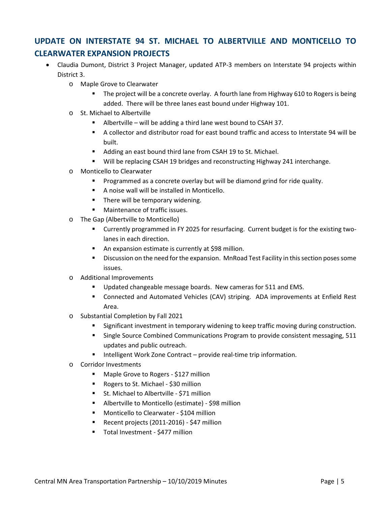# **UPDATE ON INTERSTATE 94 ST. MICHAEL TO ALBERTVILLE AND MONTICELLO TO CLEARWATER EXPANSION PROJECTS**

- Claudia Dumont, District 3 Project Manager, updated ATP-3 members on Interstate 94 projects within District 3.
	- o Maple Grove to Clearwater
		- The project will be a concrete overlay. A fourth lane from Highway 610 to Rogers is being added. There will be three lanes east bound under Highway 101.
	- o St. Michael to Albertville
		- Albertville will be adding a third lane west bound to CSAH 37.
		- A collector and distributor road for east bound traffic and access to Interstate 94 will be built.
		- Adding an east bound third lane from CSAH 19 to St. Michael.
		- Will be replacing CSAH 19 bridges and reconstructing Highway 241 interchange.
	- o Monticello to Clearwater
		- Programmed as a concrete overlay but will be diamond grind for ride quality.
		- A noise wall will be installed in Monticello.
		- There will be temporary widening.
		- **Maintenance of traffic issues.**
	- o The Gap (Albertville to Monticello)
		- Currently programmed in FY 2025 for resurfacing. Current budget is for the existing twolanes in each direction.
		- **An expansion estimate is currently at \$98 million.**
		- **Discussion on the need for the expansion. MnRoad Test Facility in this section poses some** issues.
	- o Additional Improvements
		- **Updated changeable message boards. New cameras for 511 and EMS.**
		- Connected and Automated Vehicles (CAV) striping. ADA improvements at Enfield Rest Area.
	- o Substantial Completion by Fall 2021
		- Significant investment in temporary widening to keep traffic moving during construction.
		- **Single Source Combined Communications Program to provide consistent messaging, 511** updates and public outreach.
		- Intelligent Work Zone Contract provide real-time trip information.
	- o Corridor Investments
		- **Maple Grove to Rogers \$127 million**
		- Rogers to St. Michael \$30 million
		- St. Michael to Albertville \$71 million
		- Albertville to Monticello (estimate) \$98 million
		- **Monticello to Clearwater \$104 million**
		- Recent projects (2011-2016) \$47 million
		- Total Investment \$477 million